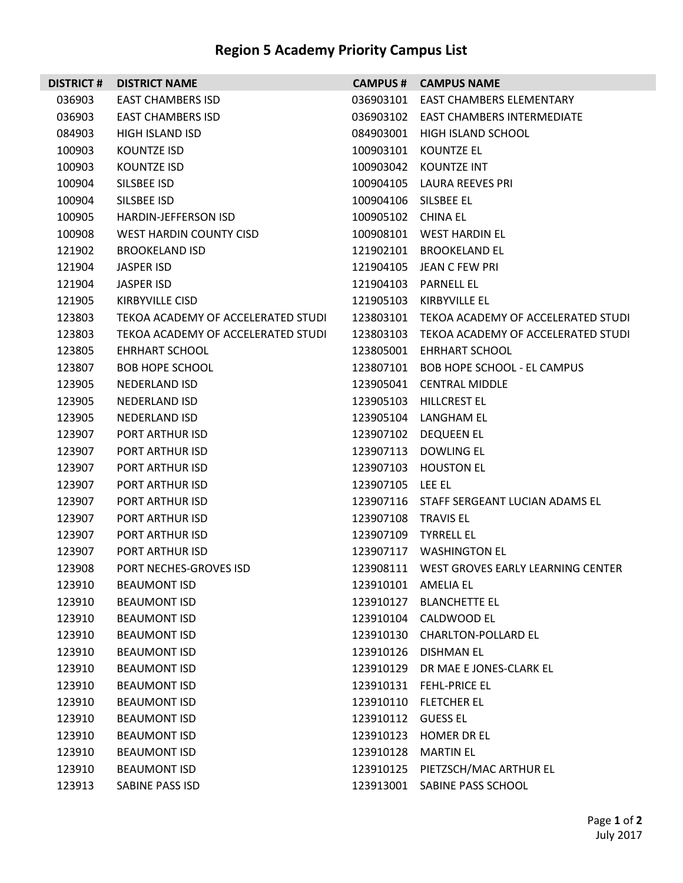## **Region 5 Academy Priority Campus List**

|        | <b>DISTRICT # DISTRICT NAME</b>    |                    | <b>CAMPUS # CAMPUS NAME</b>                  |  |
|--------|------------------------------------|--------------------|----------------------------------------------|--|
| 036903 | <b>EAST CHAMBERS ISD</b>           | 036903101          | <b>EAST CHAMBERS ELEMENTARY</b>              |  |
| 036903 | <b>EAST CHAMBERS ISD</b>           |                    | 036903102 EAST CHAMBERS INTERMEDIATE         |  |
| 084903 | <b>HIGH ISLAND ISD</b>             | 084903001          | HIGH ISLAND SCHOOL                           |  |
| 100903 | <b>KOUNTZE ISD</b>                 | 100903101          | KOUNTZE EL                                   |  |
| 100903 | <b>KOUNTZE ISD</b>                 |                    | 100903042 KOUNTZE INT                        |  |
| 100904 | SILSBEE ISD                        |                    | 100904105 LAURA REEVES PRI                   |  |
| 100904 | SILSBEE ISD                        |                    | 100904106 SILSBEE EL                         |  |
| 100905 | <b>HARDIN-JEFFERSON ISD</b>        | 100905102 CHINA EL |                                              |  |
| 100908 | WEST HARDIN COUNTY CISD            |                    | 100908101 WEST HARDIN EL                     |  |
| 121902 | <b>BROOKELAND ISD</b>              |                    | 121902101 BROOKELAND EL                      |  |
| 121904 | JASPER ISD                         |                    | 121904105 JEAN C FEW PRI                     |  |
| 121904 | JASPER ISD                         | 121904103          | PARNELL EL                                   |  |
| 121905 | KIRBYVILLE CISD                    | 121905103          | KIRBYVILLE EL                                |  |
| 123803 | TEKOA ACADEMY OF ACCELERATED STUDI |                    | 123803101 TEKOA ACADEMY OF ACCELERATED STUDI |  |
| 123803 | TEKOA ACADEMY OF ACCELERATED STUDI |                    | 123803103 TEKOA ACADEMY OF ACCELERATED STUDI |  |
| 123805 | EHRHART SCHOOL                     |                    | 123805001 EHRHART SCHOOL                     |  |
| 123807 | <b>BOB HOPE SCHOOL</b>             |                    | 123807101 BOB HOPE SCHOOL - EL CAMPUS        |  |
| 123905 | <b>NEDERLAND ISD</b>               |                    | 123905041 CENTRAL MIDDLE                     |  |
| 123905 | <b>NEDERLAND ISD</b>               |                    | 123905103 HILLCREST EL                       |  |
| 123905 | <b>NEDERLAND ISD</b>               |                    | 123905104 LANGHAM EL                         |  |
| 123907 | PORT ARTHUR ISD                    |                    | 123907102 DEQUEEN EL                         |  |
| 123907 | PORT ARTHUR ISD                    |                    | 123907113 DOWLING EL                         |  |
| 123907 | <b>PORT ARTHUR ISD</b>             |                    | 123907103 HOUSTON EL                         |  |
| 123907 | <b>PORT ARTHUR ISD</b>             | 123907105 LEE EL   |                                              |  |
| 123907 | PORT ARTHUR ISD                    |                    | 123907116 STAFF SERGEANT LUCIAN ADAMS EL     |  |
| 123907 | <b>PORT ARTHUR ISD</b>             | 123907108          | TRAVIS EL                                    |  |
| 123907 | PORT ARTHUR ISD                    | 123907109          | <b>TYRRELL EL</b>                            |  |
| 123907 | PORT ARTHUR ISD                    |                    | 123907117 WASHINGTON EL                      |  |
| 123908 | <b>PORT NECHES-GROVES ISD</b>      |                    | 123908111 WEST GROVES EARLY LEARNING CENTER  |  |
| 123910 | <b>BEAUMONT ISD</b>                |                    | 123910101 AMELIA EL                          |  |
| 123910 | <b>BEAUMONT ISD</b>                |                    | 123910127 BLANCHETTE EL                      |  |
| 123910 | <b>BEAUMONT ISD</b>                |                    | 123910104 CALDWOOD EL                        |  |
| 123910 | <b>BEAUMONT ISD</b>                |                    | 123910130 CHARLTON-POLLARD EL                |  |
| 123910 | <b>BEAUMONT ISD</b>                |                    | 123910126 DISHMAN EL                         |  |
| 123910 | <b>BEAUMONT ISD</b>                |                    | 123910129 DR MAE E JONES-CLARK EL            |  |
| 123910 | <b>BEAUMONT ISD</b>                |                    | 123910131 FEHL-PRICE EL                      |  |
| 123910 | <b>BEAUMONT ISD</b>                |                    | 123910110 FLETCHER EL                        |  |
| 123910 | <b>BEAUMONT ISD</b>                | 123910112 GUESS EL |                                              |  |
| 123910 | <b>BEAUMONT ISD</b>                |                    | 123910123 HOMER DR EL                        |  |
| 123910 | <b>BEAUMONT ISD</b>                |                    | 123910128 MARTIN EL                          |  |
| 123910 | <b>BEAUMONT ISD</b>                |                    | 123910125 PIETZSCH/MAC ARTHUR EL             |  |
| 123913 | SABINE PASS ISD                    |                    | 123913001 SABINE PASS SCHOOL                 |  |